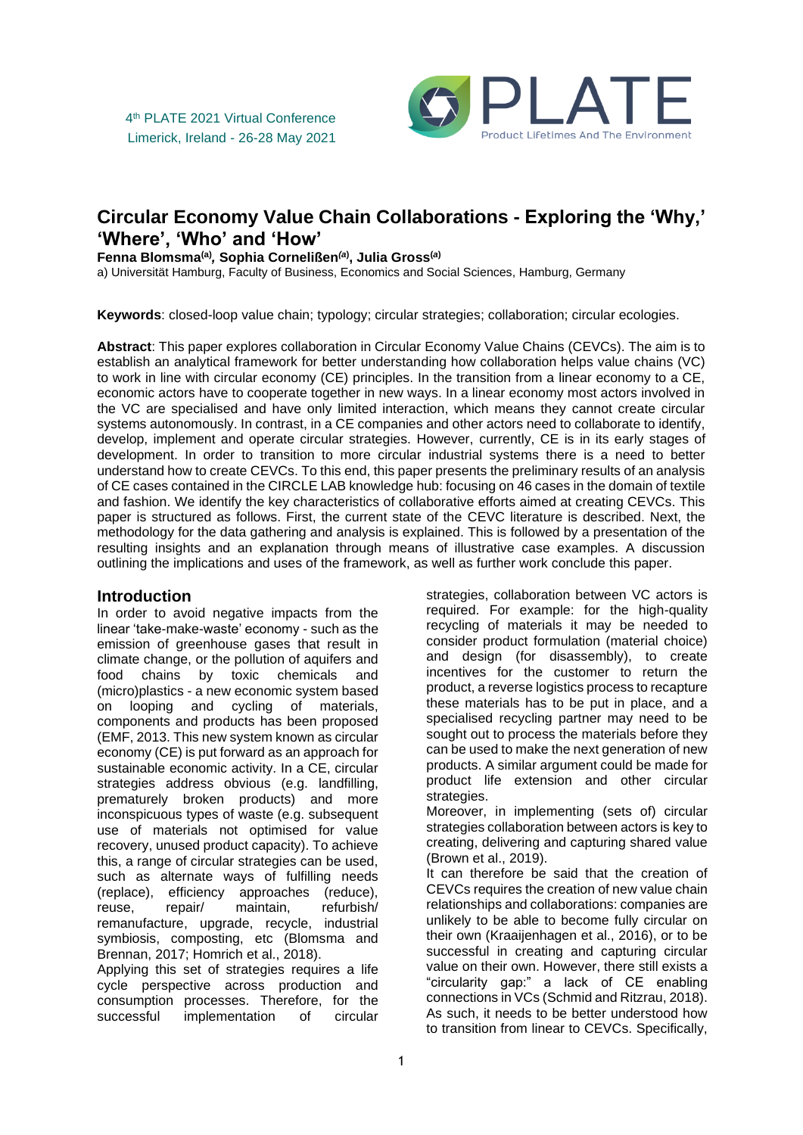

# **Circular Economy Value Chain Collaborations - Exploring the 'Why,' 'Where', 'Who' and 'How'**

**Fenna Blomsma(a)** *,* **Sophia Cornelißen***(a***) , Julia Gross(***a***)**

a) Universität Hamburg, Faculty of Business, Economics and Social Sciences, Hamburg, Germany

**Keywords**: closed-loop value chain; typology; circular strategies; collaboration; circular ecologies.

**Abstract**: This paper explores collaboration in Circular Economy Value Chains (CEVCs). The aim is to establish an analytical framework for better understanding how collaboration helps value chains (VC) to work in line with circular economy (CE) principles. In the transition from a linear economy to a CE, economic actors have to cooperate together in new ways. In a linear economy most actors involved in the VC are specialised and have only limited interaction, which means they cannot create circular systems autonomously. In contrast, in a CE companies and other actors need to collaborate to identify, develop, implement and operate circular strategies. However, currently, CE is in its early stages of development. In order to transition to more circular industrial systems there is a need to better understand how to create CEVCs. To this end, this paper presents the preliminary results of an analysis of CE cases contained in the CIRCLE LAB knowledge hub: focusing on 46 cases in the domain of textile and fashion. We identify the key characteristics of collaborative efforts aimed at creating CEVCs. This paper is structured as follows. First, the current state of the CEVC literature is described. Next, the methodology for the data gathering and analysis is explained. This is followed by a presentation of the resulting insights and an explanation through means of illustrative case examples. A discussion outlining the implications and uses of the framework, as well as further work conclude this paper.

#### **Introduction**

In order to avoid negative impacts from the linear 'take-make-waste' economy - such as the emission of greenhouse gases that result in climate change, or the pollution of aquifers and food chains by toxic chemicals and (micro)plastics - a new economic system based on looping and cycling of materials, components and products has been proposed (EMF, 2013. This new system known as circular economy (CE) is put forward as an approach for sustainable economic activity. In a CE, circular strategies address obvious (e.g. landfilling, prematurely broken products) and more inconspicuous types of waste (e.g. subsequent use of materials not optimised for value recovery, unused product capacity). To achieve this, a range of circular strategies can be used, such as alternate ways of fulfilling needs (replace), efficiency approaches (reduce), reuse, repair/ maintain, refurbish/ remanufacture, upgrade, recycle, industrial symbiosis, composting, etc (Blomsma and Brennan, 2017; Homrich et al., 2018).

Applying this set of strategies requires a life cycle perspective across production and consumption processes. Therefore, for the successful implementation of circular strategies, collaboration between VC actors is required. For example: for the high-quality recycling of materials it may be needed to consider product formulation (material choice) and design (for disassembly), to create incentives for the customer to return the product, a reverse logistics process to recapture these materials has to be put in place, and a specialised recycling partner may need to be sought out to process the materials before they can be used to make the next generation of new products. A similar argument could be made for product life extension and other circular strategies.

Moreover, in implementing (sets of) circular strategies collaboration between actors is key to creating, delivering and capturing shared value (Brown et al., 2019).

It can therefore be said that the creation of CEVCs requires the creation of new value chain relationships and collaborations: companies are unlikely to be able to become fully circular on their own (Kraaijenhagen et al., 2016), or to be successful in creating and capturing circular value on their own. However, there still exists a "circularity gap:" a lack of CE enabling connections in VCs (Schmid and Ritzrau, 2018). As such, it needs to be better understood how to transition from linear to CEVCs. Specifically,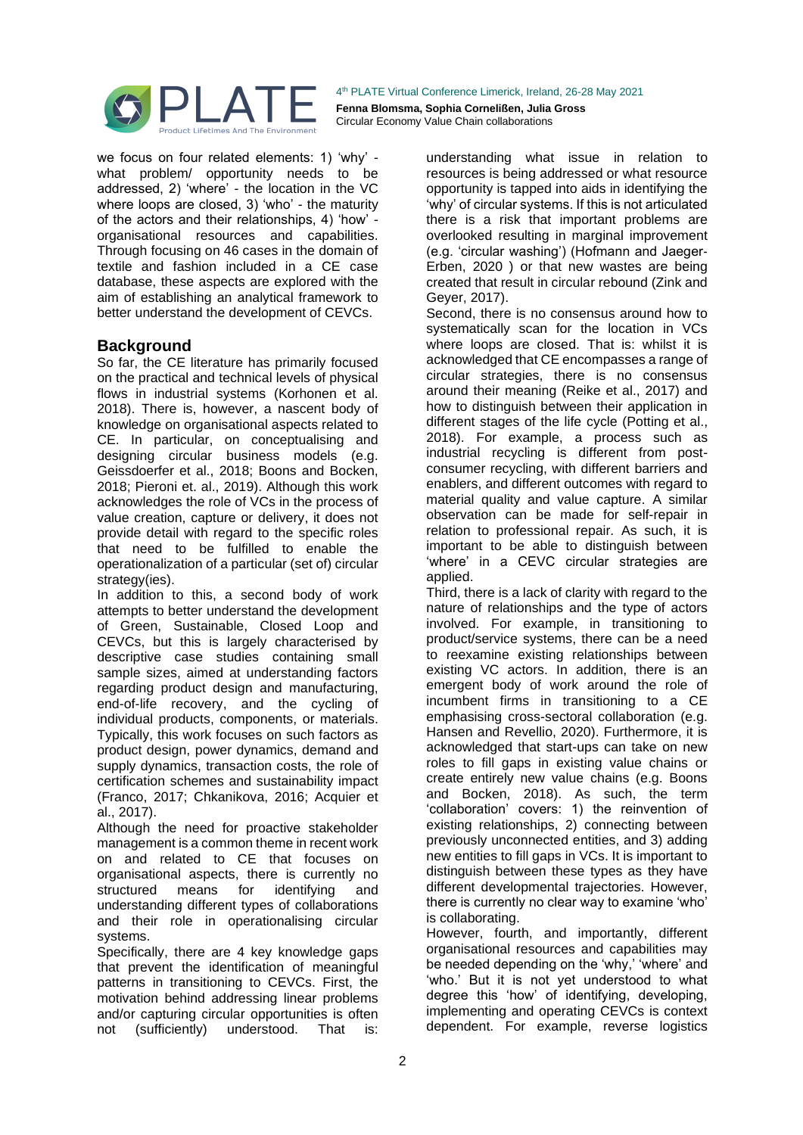

we focus on four related elements: 1) 'why' what problem/ opportunity needs to be addressed, 2) 'where' - the location in the VC where loops are closed, 3) 'who' - the maturity of the actors and their relationships, 4) 'how' organisational resources and capabilities. Through focusing on 46 cases in the domain of textile and fashion included in a CE case database, these aspects are explored with the aim of establishing an analytical framework to better understand the development of CEVCs.

## **Background**

So far, the CE literature has primarily focused on the practical and technical levels of physical flows in industrial systems (Korhonen et al. 2018). There is, however, a nascent body of knowledge on organisational aspects related to CE. In particular, on conceptualising and designing circular business models (e.g. Geissdoerfer et al., 2018; Boons and Bocken, 2018; Pieroni et. al., 2019). Although this work acknowledges the role of VCs in the process of value creation, capture or delivery, it does not provide detail with regard to the specific roles that need to be fulfilled to enable the operationalization of a particular (set of) circular strategy(ies).

In addition to this, a second body of work attempts to better understand the development of Green, Sustainable, Closed Loop and CEVCs, but this is largely characterised by descriptive case studies containing small sample sizes, aimed at understanding factors regarding product design and manufacturing, end-of-life recovery, and the cycling of individual products, components, or materials. Typically, this work focuses on such factors as product design, power dynamics, demand and supply dynamics, transaction costs, the role of certification schemes and sustainability impact (Franco, 2017; Chkanikova, 2016; Acquier et al., 2017).

Although the need for proactive stakeholder management is a common theme in recent work on and related to CE that focuses on organisational aspects, there is currently no structured means for identifying and understanding different types of collaborations and their role in operationalising circular systems.

Specifically, there are 4 key knowledge gaps that prevent the identification of meaningful patterns in transitioning to CEVCs. First, the motivation behind addressing linear problems and/or capturing circular opportunities is often not (sufficiently) understood. That is:

understanding what issue in relation to resources is being addressed or what resource opportunity is tapped into aids in identifying the 'why' of circular systems. If this is not articulated there is a risk that important problems are overlooked resulting in marginal improvement (e.g. 'circular washing') (Hofmann and Jaeger‐ Erben, 2020 ) or that new wastes are being created that result in circular rebound (Zink and Geyer, 2017).

Second, there is no consensus around how to systematically scan for the location in VCs where loops are closed. That is: whilst it is acknowledged that CE encompasses a range of circular strategies, there is no consensus around their meaning (Reike et al., 2017) and how to distinguish between their application in different stages of the life cycle (Potting et al., 2018). For example, a process such as industrial recycling is different from postconsumer recycling, with different barriers and enablers, and different outcomes with regard to material quality and value capture. A similar observation can be made for self-repair in relation to professional repair. As such, it is important to be able to distinguish between 'where' in a CEVC circular strategies are applied.

Third, there is a lack of clarity with regard to the nature of relationships and the type of actors involved. For example, in transitioning to product/service systems, there can be a need to reexamine existing relationships between existing VC actors. In addition, there is an emergent body of work around the role of incumbent firms in transitioning to a CE emphasising cross-sectoral collaboration (e.g. Hansen and Revellio, 2020). Furthermore, it is acknowledged that start-ups can take on new roles to fill gaps in existing value chains or create entirely new value chains (e.g. Boons and Bocken, 2018). As such, the term 'collaboration' covers: 1) the reinvention of existing relationships, 2) connecting between previously unconnected entities, and 3) adding new entities to fill gaps in VCs. It is important to distinguish between these types as they have different developmental trajectories. However, there is currently no clear way to examine 'who' is collaborating.

However, fourth, and importantly, different organisational resources and capabilities may be needed depending on the 'why,' 'where' and 'who.' But it is not yet understood to what degree this 'how' of identifying, developing, implementing and operating CEVCs is context dependent. For example, reverse logistics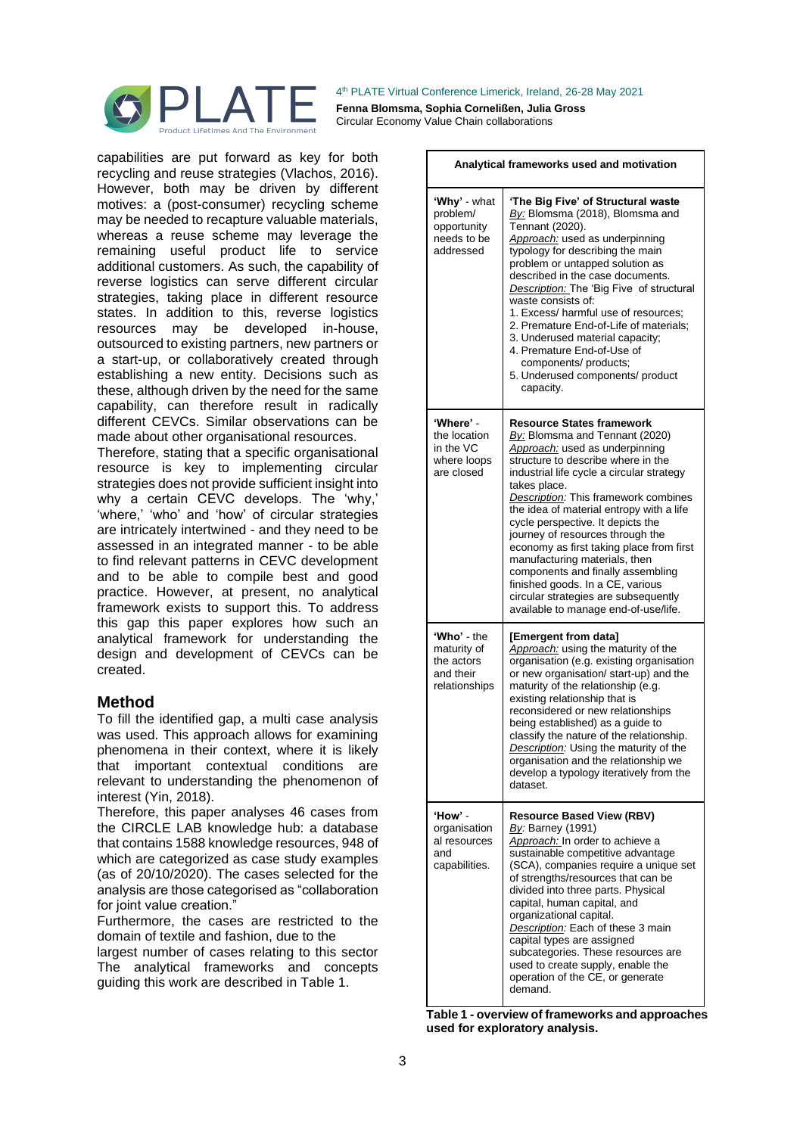

4 th PLATE Virtual Conference Limerick, Ireland, 26-28 May 2021 **Fenna Blomsma, Sophia Cornelißen, Julia Gross** 

Circular Economy Value Chain collaborations

capabilities are put forward as key for both recycling and reuse strategies (Vlachos, 2016). However, both may be driven by different motives: a (post-consumer) recycling scheme may be needed to recapture valuable materials, whereas a reuse scheme may leverage the remaining useful product life to service additional customers. As such, the capability of reverse logistics can serve different circular strategies, taking place in different resource states. In addition to this, reverse logistics resources may be developed in-house, outsourced to existing partners, new partners or a start-up, or collaboratively created through establishing a new entity. Decisions such as these, although driven by the need for the same capability, can therefore result in radically different CEVCs. Similar observations can be made about other organisational resources.

Therefore, stating that a specific organisational resource is key to implementing circular strategies does not provide sufficient insight into why a certain CEVC develops. The 'why,' 'where,' 'who' and 'how' of circular strategies are intricately intertwined - and they need to be assessed in an integrated manner - to be able to find relevant patterns in CEVC development and to be able to compile best and good practice. However, at present, no analytical framework exists to support this. To address this gap this paper explores how such an analytical framework for understanding the design and development of CEVCs can be created.

## **Method**

To fill the identified gap, a multi case analysis was used. This approach allows for examining phenomena in their context, where it is likely that important contextual conditions are relevant to understanding the phenomenon of interest (Yin, 2018).

Therefore, this paper analyses 46 cases from the CIRCLE LAB knowledge hub: a database that contains 1588 knowledge resources, 948 of which are categorized as case study examples (as of 20/10/2020). The cases selected for the analysis are those categorised as "collaboration for joint value creation."

Furthermore, the cases are restricted to the domain of textile and fashion, due to the

largest number of cases relating to this sector The analytical frameworks and concepts guiding this work are described in Table 1.

| Analytical frameworks used and motivation                              |                                                                                                                                                                                                                                                                                                                                                                                                                                                                                                                                                                                                            |
|------------------------------------------------------------------------|------------------------------------------------------------------------------------------------------------------------------------------------------------------------------------------------------------------------------------------------------------------------------------------------------------------------------------------------------------------------------------------------------------------------------------------------------------------------------------------------------------------------------------------------------------------------------------------------------------|
| 'Why' - what<br>problem/<br>opportunity<br>needs to be<br>addressed    | 'The Big Five' of Structural waste<br>By: Blomsma (2018), Blomsma and<br>Tennant (2020).<br>Approach: used as underpinning<br>typology for describing the main<br>problem or untapped solution as<br>described in the case documents.<br>Description: The 'Big Five of structural<br>waste consists of:<br>1. Excess/ harmful use of resources;<br>2. Premature End-of-Life of materials:<br>3. Underused material capacity;<br>4. Premature End-of-Use of<br>components/ products;<br>5. Underused components/ product<br>capacity.                                                                       |
| 'Where' -<br>the location<br>in the VC<br>where loops<br>are closed    | <b>Resource States framework</b><br>By: Blomsma and Tennant (2020)<br>Approach: used as underpinning<br>structure to describe where in the<br>industrial life cycle a circular strategy<br>takes place.<br>Description: This framework combines<br>the idea of material entropy with a life<br>cycle perspective. It depicts the<br>journey of resources through the<br>economy as first taking place from first<br>manufacturing materials, then<br>components and finally assembling<br>finished goods. In a CE, various<br>circular strategies are subsequently<br>available to manage end-of-use/life. |
| 'Who' - the<br>maturity of<br>the actors<br>and their<br>relationships | [Emergent from data]<br>Approach: using the maturity of the<br>organisation (e.g. existing organisation<br>or new organisation/ start-up) and the<br>maturity of the relationship (e.g.<br>existing relationship that is<br>reconsidered or new relationships<br>being established) as a guide to<br>classify the nature of the relationship.<br>Description: Using the maturity of the<br>organisation and the relationship we<br>develop a typology iteratively from the<br>dataset.                                                                                                                     |
| 'How' -<br>organisation<br>al resources<br>and<br>capabilities.        | <b>Resource Based View (RBV)</b><br>By: Barney (1991)<br>Approach: In order to achieve a<br>sustainable competitive advantage<br>(SCA), companies require a unique set<br>of strengths/resources that can be<br>divided into three parts. Physical<br>capital, human capital, and<br>organizational capital.<br>Description: Each of these 3 main<br>capital types are assigned<br>subcategories. These resources are<br>used to create supply, enable the<br>operation of the CE, or generate<br>demand.                                                                                                  |

**Table 1 - overview of frameworks and approaches used for exploratory analysis.**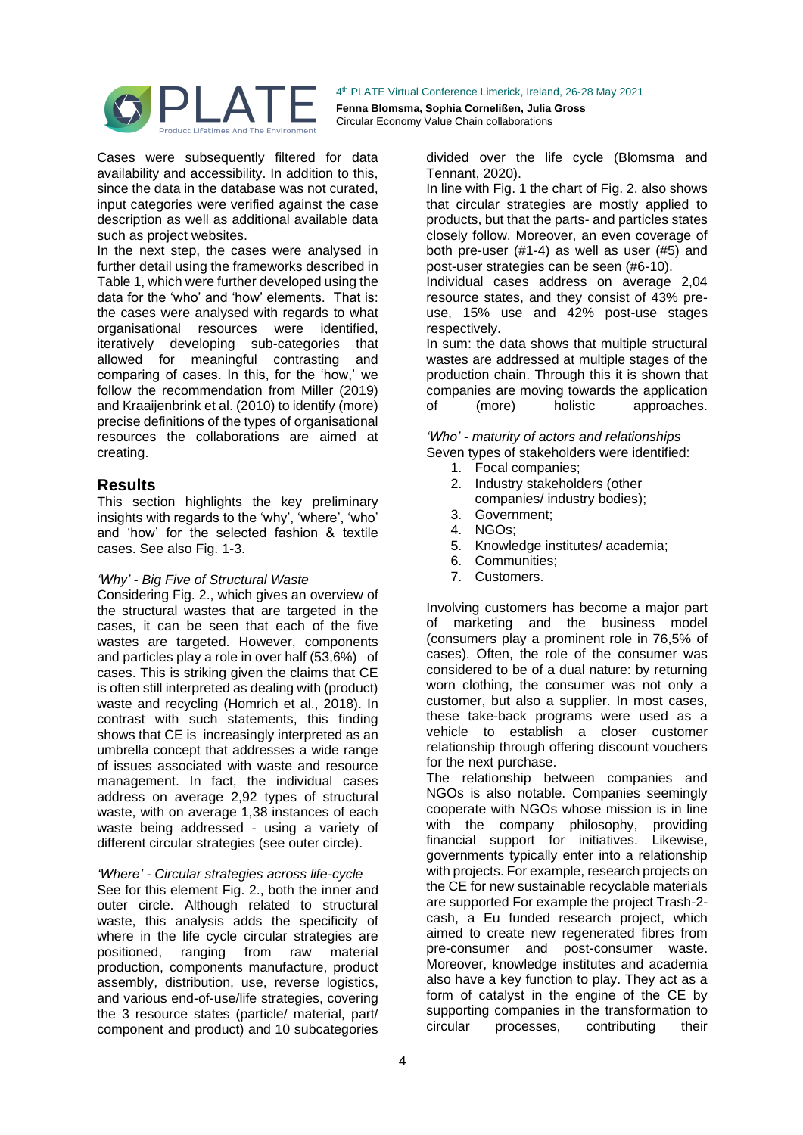

Cases were subsequently filtered for data availability and accessibility. In addition to this, since the data in the database was not curated, input categories were verified against the case description as well as additional available data such as project websites.

In the next step, the cases were analysed in further detail using the frameworks described in Table 1, which were further developed using the data for the 'who' and 'how' elements. That is: the cases were analysed with regards to what organisational resources were identified, iteratively developing sub-categories that allowed for meaningful contrasting and comparing of cases. In this, for the 'how,' we follow the recommendation from Miller (2019) and Kraaijenbrink et al. (2010) to identify (more) precise definitions of the types of organisational resources the collaborations are aimed at creating.

## **Results**

This section highlights the key preliminary insights with regards to the 'why', 'where', 'who' and 'how' for the selected fashion & textile cases. See also Fig. 1-3.

#### *'Why' - Big Five of Structural Waste*

Considering Fig. 2., which gives an overview of the structural wastes that are targeted in the cases, it can be seen that each of the five wastes are targeted. However, components and particles play a role in over half (53,6%) of cases. This is striking given the claims that CE is often still interpreted as dealing with (product) waste and recycling (Homrich et al., 2018). In contrast with such statements, this finding shows that CE is increasingly interpreted as an umbrella concept that addresses a wide range of issues associated with waste and resource management. In fact, the individual cases address on average 2,92 types of structural waste, with on average 1,38 instances of each waste being addressed - using a variety of different circular strategies (see outer circle).

#### *'Where' - Circular strategies across life-cycle*

See for this element Fig. 2., both the inner and outer circle. Although related to structural waste, this analysis adds the specificity of where in the life cycle circular strategies are positioned, ranging from raw material production, components manufacture, product assembly, distribution, use, reverse logistics, and various end-of-use/life strategies, covering the 3 resource states (particle/ material, part/ component and product) and 10 subcategories

divided over the life cycle (Blomsma and Tennant, 2020).

In line with Fig. 1 the chart of Fig. 2. also shows that circular strategies are mostly applied to products, but that the parts- and particles states closely follow. Moreover, an even coverage of both pre-user (#1-4) as well as user (#5) and post-user strategies can be seen (#6-10).

Individual cases address on average 2,04 resource states, and they consist of 43% preuse, 15% use and 42% post-use stages respectively.

In sum: the data shows that multiple structural wastes are addressed at multiple stages of the production chain. Through this it is shown that companies are moving towards the application of (more) holistic approaches.

*'Who' - maturity of actors and relationships* Seven types of stakeholders were identified:

- 1. Focal companies;
- 2. Industry stakeholders (other companies/ industry bodies);
- 3. Government;
- 4. NGOs;
- 5. Knowledge institutes/ academia;
- 6. Communities;
- 7. Customers.

Involving customers has become a major part of marketing and the business model (consumers play a prominent role in 76,5% of cases). Often, the role of the consumer was considered to be of a dual nature: by returning worn clothing, the consumer was not only a customer, but also a supplier. In most cases, these take-back programs were used as a vehicle to establish a closer customer relationship through offering discount vouchers for the next purchase.

The relationship between companies and NGOs is also notable. Companies seemingly cooperate with NGOs whose mission is in line with the company philosophy, providing financial support for initiatives. Likewise, governments typically enter into a relationship with projects. For example, research projects on the CE for new sustainable recyclable materials are supported For example the project Trash-2 cash, a Eu funded research project, which aimed to create new regenerated fibres from pre-consumer and post-consumer waste. Moreover, knowledge institutes and academia also have a key function to play. They act as a form of catalyst in the engine of the CE by supporting companies in the transformation to circular processes, contributing their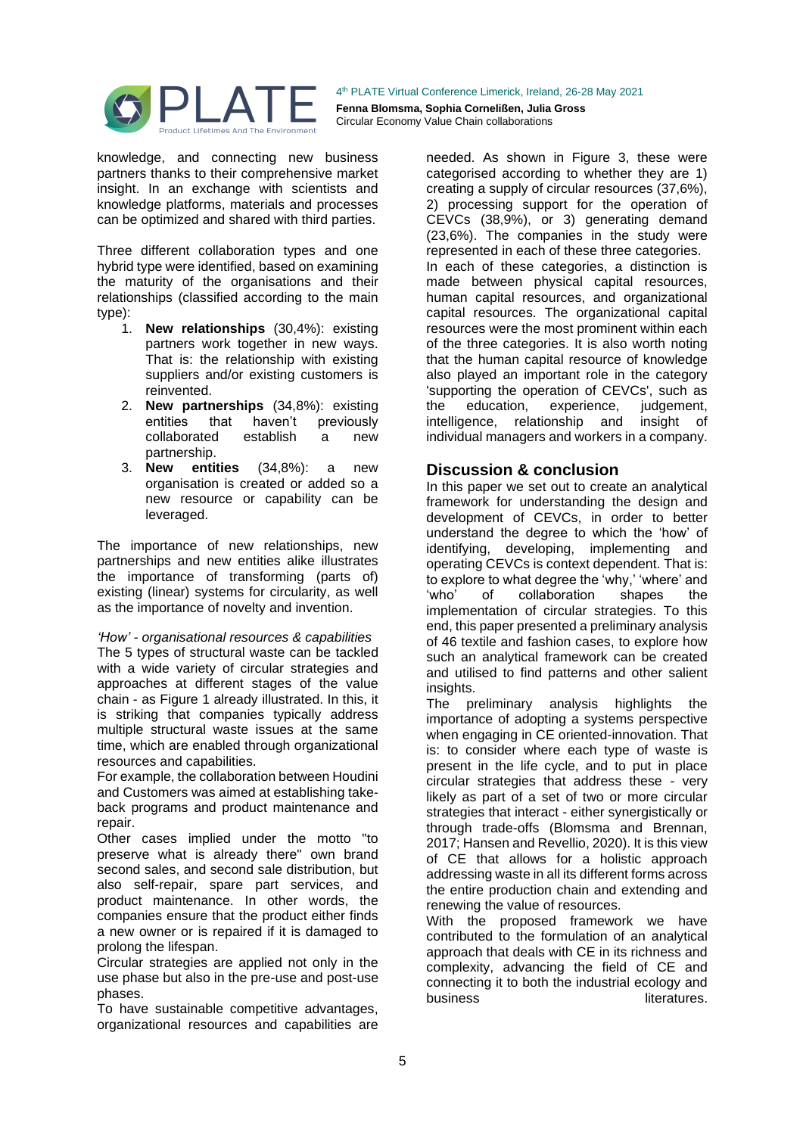

knowledge, and connecting new business partners thanks to their comprehensive market insight. In an exchange with scientists and knowledge platforms, materials and processes can be optimized and shared with third parties.

Three different collaboration types and one hybrid type were identified, based on examining the maturity of the organisations and their relationships (classified according to the main type):

- 1. **New relationships** (30,4%): existing partners work together in new ways. That is: the relationship with existing suppliers and/or existing customers is reinvented.
- 2. **New partnerships** (34,8%): existing entities that haven't previously<br>collaborated establish a new collaborated establish a new partnership.
- 3. **New entities** (34,8%): a new organisation is created or added so a new resource or capability can be leveraged.

The importance of new relationships, new partnerships and new entities alike illustrates the importance of transforming (parts of) existing (linear) systems for circularity, as well as the importance of novelty and invention.

*'How' - organisational resources & capabilities* The 5 types of structural waste can be tackled with a wide variety of circular strategies and approaches at different stages of the value chain - as Figure 1 already illustrated. In this, it is striking that companies typically address multiple structural waste issues at the same time, which are enabled through organizational resources and capabilities.

For example, the collaboration between Houdini and Customers was aimed at establishing takeback programs and product maintenance and repair.

Other cases implied under the motto "to preserve what is already there" own brand second sales, and second sale distribution, but also self-repair, spare part services, and product maintenance. In other words, the companies ensure that the product either finds a new owner or is repaired if it is damaged to prolong the lifespan.

Circular strategies are applied not only in the use phase but also in the pre-use and post-use phases.

To have sustainable competitive advantages, organizational resources and capabilities are needed. As shown in Figure 3, these were categorised according to whether they are 1) creating a supply of circular resources (37,6%), 2) processing support for the operation of CEVCs (38,9%), or 3) generating demand (23,6%). The companies in the study were represented in each of these three categories. In each of these categories, a distinction is made between physical capital resources, human capital resources, and organizational capital resources. The organizational capital resources were the most prominent within each of the three categories. It is also worth noting that the human capital resource of knowledge also played an important role in the category 'supporting the operation of CEVCs', such as the education, experience, judgement, intelligence, relationship and insight of individual managers and workers in a company.

## **Discussion & conclusion**

In this paper we set out to create an analytical framework for understanding the design and development of CEVCs, in order to better understand the degree to which the 'how' of identifying, developing, implementing and operating CEVCs is context dependent. That is: to explore to what degree the 'why,' 'where' and 'who' of collaboration shapes the implementation of circular strategies. To this end, this paper presented a preliminary analysis of 46 textile and fashion cases, to explore how such an analytical framework can be created and utilised to find patterns and other salient insights.

The preliminary analysis highlights the importance of adopting a systems perspective when engaging in CE oriented-innovation. That is: to consider where each type of waste is present in the life cycle, and to put in place circular strategies that address these - very likely as part of a set of two or more circular strategies that interact - either synergistically or through trade-offs (Blomsma and Brennan, 2017; Hansen and Revellio, 2020). It is this view of CE that allows for a holistic approach addressing waste in all its different forms across the entire production chain and extending and renewing the value of resources.

With the proposed framework we have contributed to the formulation of an analytical approach that deals with CE in its richness and complexity, advancing the field of CE and connecting it to both the industrial ecology and business literatures.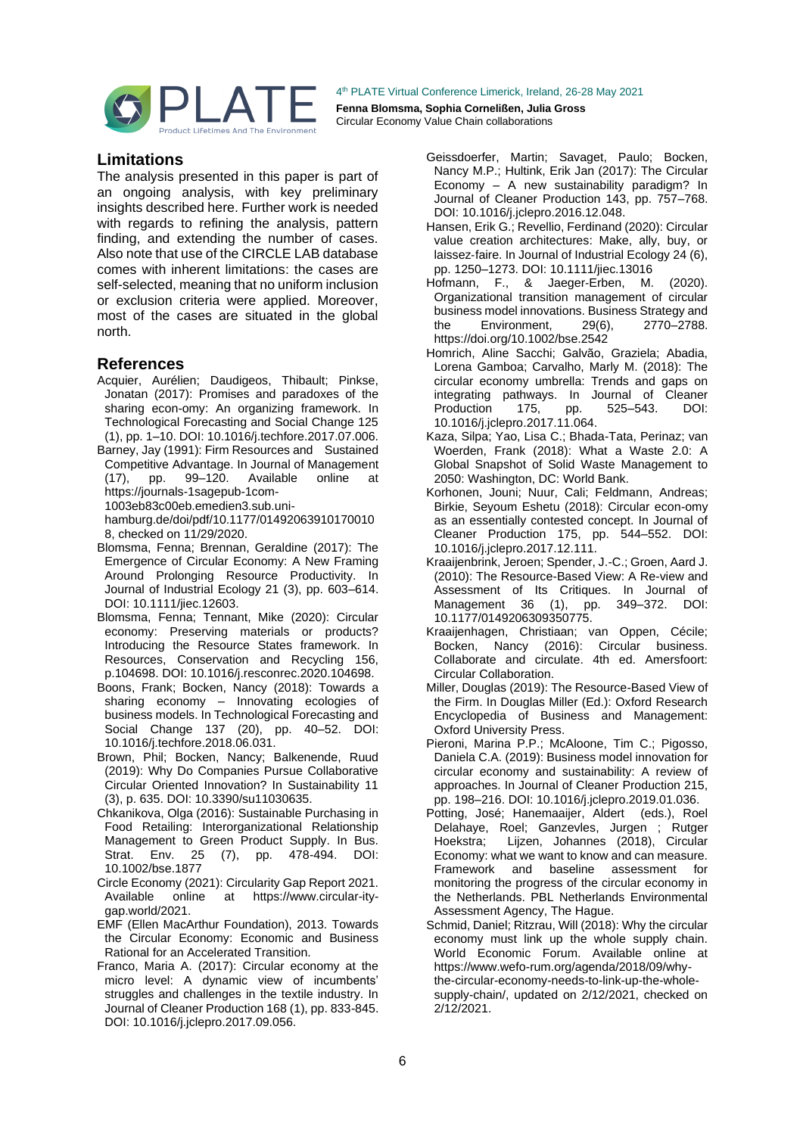

**Fenna Blomsma, Sophia Cornelißen, Julia Gross**  Circular Economy Value Chain collaborations

### **Limitations**

The analysis presented in this paper is part of an ongoing analysis, with key preliminary insights described here. Further work is needed with regards to refining the analysis, pattern finding, and extending the number of cases. Also note that use of the CIRCLE LAB database comes with inherent limitations: the cases are self-selected, meaning that no uniform inclusion or exclusion criteria were applied. Moreover, most of the cases are situated in the global north.

## **References**

- Acquier, Aurélien; Daudigeos, Thibault; Pinkse, Jonatan (2017): Promises and paradoxes of the sharing econ-omy: An organizing framework. In Technological Forecasting and Social Change 125 (1), pp. 1–10. DOI: 10.1016/j.techfore.2017.07.006.
- Barney, Jay (1991): Firm Resources and Sustained Competitive Advantage. In Journal of Management<br>(17). pp. 99-120. Available online at (17), pp. 99–120. Available online at https://journals-1sagepub-1com-1003eb83c00eb.emedien3.sub.uni-
- hamburg.de/doi/pdf/10.1177/01492063910170010 8, checked on 11/29/2020.
- Blomsma, Fenna; Brennan, Geraldine (2017): The Emergence of Circular Economy: A New Framing Around Prolonging Resource Productivity. In Journal of Industrial Ecology 21 (3), pp. 603–614. DOI: 10.1111/jiec.12603.
- Blomsma, Fenna; Tennant, Mike (2020): Circular economy: Preserving materials or products? Introducing the Resource States framework. In Resources, Conservation and Recycling 156, p.104698. DOI: 10.1016/j.resconrec.2020.104698.
- Boons, Frank; Bocken, Nancy (2018): Towards a sharing economy - Innovating ecologies of business models. In Technological Forecasting and Social Change 137 (20), pp. 40–52. DOI: 10.1016/j.techfore.2018.06.031.
- Brown, Phil; Bocken, Nancy; Balkenende, Ruud (2019): Why Do Companies Pursue Collaborative Circular Oriented Innovation? In Sustainability 11 (3), p. 635. DOI: 10.3390/su11030635.
- Chkanikova, Olga (2016): Sustainable Purchasing in Food Retailing: Interorganizational Relationship Management to Green Product Supply. In Bus. Strat. Env. 25 (7), pp. 478-494. DOI: 10.1002/bse.1877
- Circle Economy (2021): Circularity Gap Report 2021. Available online at https://www.circular-itygap.world/2021.
- EMF (Ellen MacArthur Foundation), 2013. Towards the Circular Economy: Economic and Business Rational for an Accelerated Transition.
- Franco, Maria A. (2017): Circular economy at the micro level: A dynamic view of incumbents' struggles and challenges in the textile industry. In Journal of Cleaner Production 168 (1), pp. 833-845. DOI: 10.1016/j.jclepro.2017.09.056.
- Geissdoerfer, Martin; Savaget, Paulo; Bocken, Nancy M.P.; Hultink, Erik Jan (2017): The Circular Economy – A new sustainability paradigm? In Journal of Cleaner Production 143, pp. 757–768. DOI: 10.1016/j.jclepro.2016.12.048.
- Hansen, Erik G.; Revellio, Ferdinand (2020): Circular value creation architectures: Make, ally, buy, or laissez‐faire. In Journal of Industrial Ecology 24 (6), pp. 1250–1273. DOI: 10.1111/jiec.13016
- Hofmann, F., & Jaeger-Erben, M. (2020). Organizational transition management of circular business model innovations. Business Strategy and<br>the Environment, 29(6), 2770–2788. the Environment, 29(6), 2770–2788. https://doi.org/10.1002/bse.2542
- Homrich, Aline Sacchi; Galvão, Graziela; Abadia, Lorena Gamboa; Carvalho, Marly M. (2018): The circular economy umbrella: Trends and gaps on integrating pathways. In Journal of Cleaner<br>Production 175, pp. 525–543. DOI: Production 175, pp. 525–543. DOI: 10.1016/j.jclepro.2017.11.064.
- Kaza, Silpa; Yao, Lisa C.; Bhada-Tata, Perinaz; van Woerden, Frank (2018): What a Waste 2.0: A Global Snapshot of Solid Waste Management to 2050: Washington, DC: World Bank.
- Korhonen, Jouni; Nuur, Cali; Feldmann, Andreas; Birkie, Seyoum Eshetu (2018): Circular econ-omy as an essentially contested concept. In Journal of Cleaner Production 175, pp. 544–552. DOI: 10.1016/j.jclepro.2017.12.111.
- Kraaijenbrink, Jeroen; Spender, J.-C.; Groen, Aard J. (2010): The Resource-Based View: A Re-view and Assessment of Its Critiques. In Journal of Management 36 (1), pp. 349–372. DOI: 10.1177/0149206309350775.
- Kraaijenhagen, Christiaan; van Oppen, Cécile; Bocken, Nancy (2016): Circular business. Collaborate and circulate. 4th ed. Amersfoort: Circular Collaboration.
- Miller, Douglas (2019): The Resource-Based View of the Firm. In Douglas Miller (Ed.): Oxford Research Encyclopedia of Business and Management: Oxford University Press.
- Pieroni, Marina P.P.; McAloone, Tim C.; Pigosso, Daniela C.A. (2019): Business model innovation for circular economy and sustainability: A review of approaches. In Journal of Cleaner Production 215, pp. 198–216. DOI: 10.1016/j.jclepro.2019.01.036.
- Potting, José; Hanemaaijer, Aldert (eds.), Roel Delahaye, Roel; Ganzevles, Jurgen ; Rutger Hoekstra; Lijzen, Johannes (2018), Circular Economy: what we want to know and can measure. Framework and baseline assessment for monitoring the progress of the circular economy in the Netherlands. PBL Netherlands Environmental Assessment Agency, The Hague.
- Schmid, Daniel; Ritzrau, Will (2018): Why the circular economy must link up the whole supply chain. World Economic Forum. Available online at https://www.wefo-rum.org/agenda/2018/09/whythe-circular-economy-needs-to-link-up-the-wholesupply-chain/, updated on 2/12/2021, checked on 2/12/2021.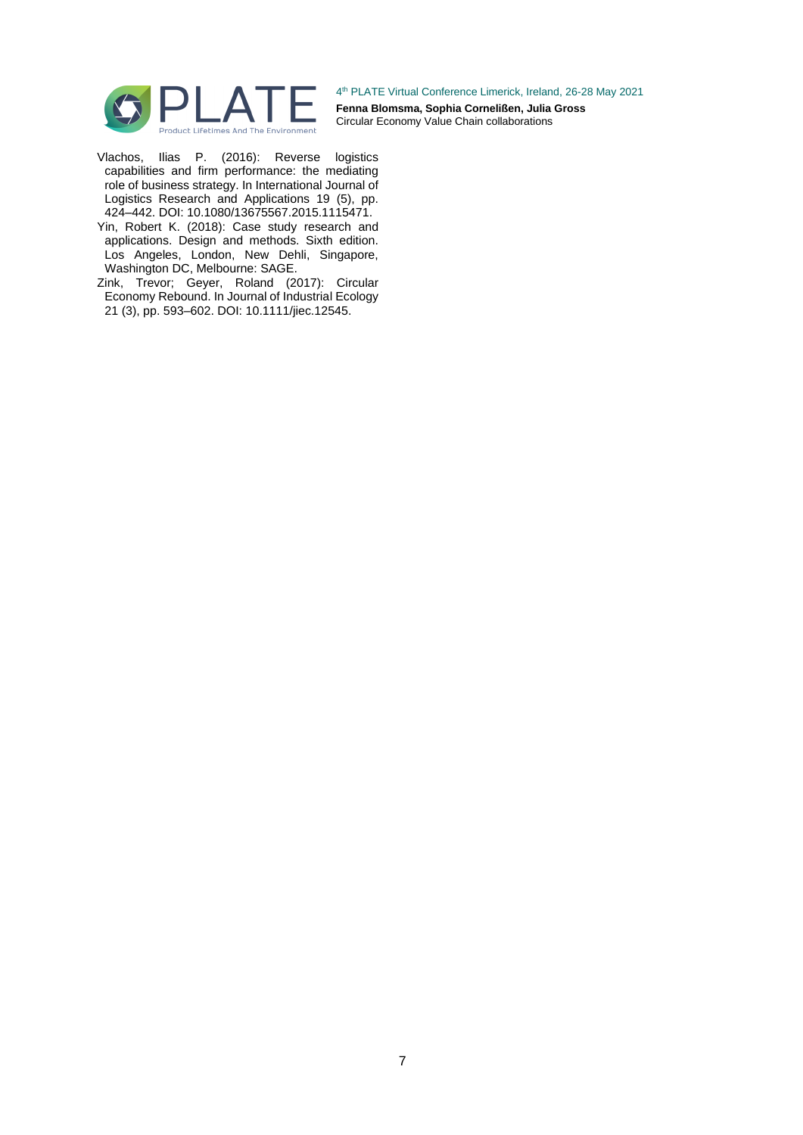

- Vlachos, Ilias P. (2016): Reverse logistics capabilities and firm performance: the mediating role of business strategy. In International Journal of Logistics Research and Applications 19 (5), pp. 424–442. DOI: 10.1080/13675567.2015.1115471.
- Yin, Robert K. (2018): Case study research and applications. Design and methods. Sixth edition. Los Angeles, London, New Dehli, Singapore, Washington DC, Melbourne: SAGE.
- Zink, Trevor; Geyer, Roland (2017): Circular Economy Rebound. In Journal of Industrial Ecology 21 (3), pp. 593–602. DOI: 10.1111/jiec.12545.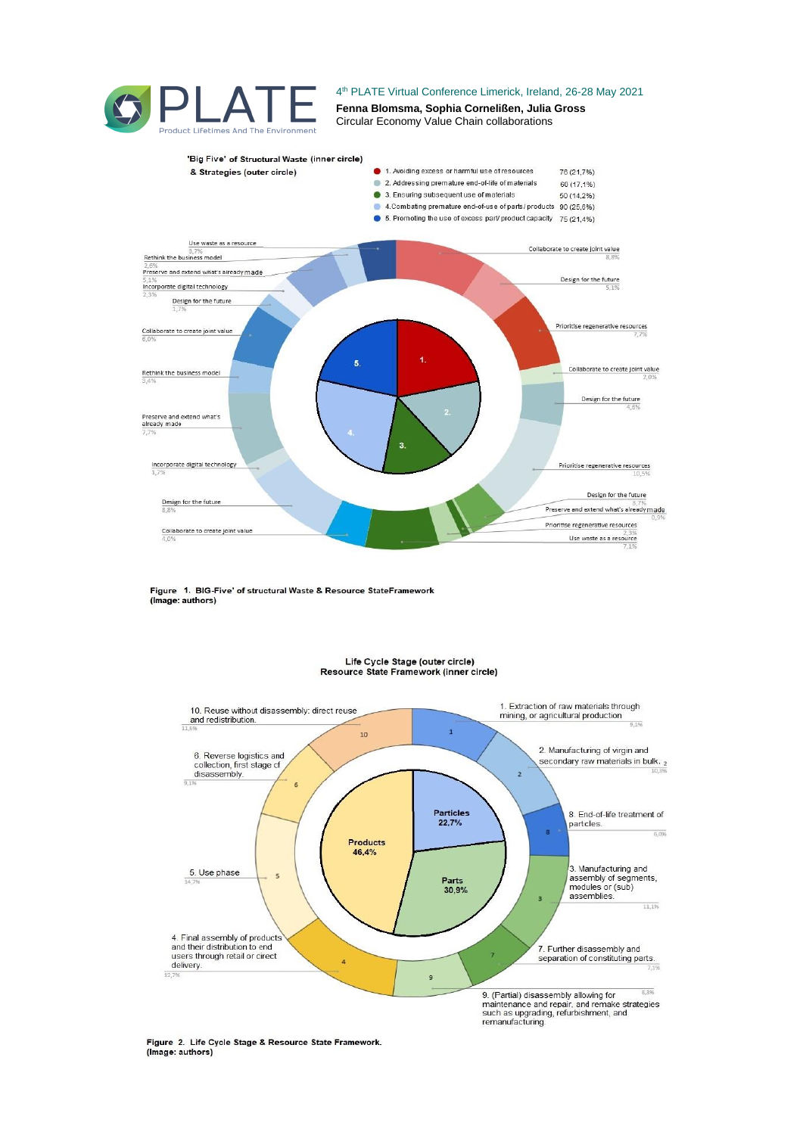



Figure 1. BIG-Five' of structural Waste & Resource StateFramework (Image: authors)



#### Life Cycle Stage (outer circle) Resource State Framework (inner circle)

Figure 2. Life Cycle Stage & Resource State Framework. (Image: authors)